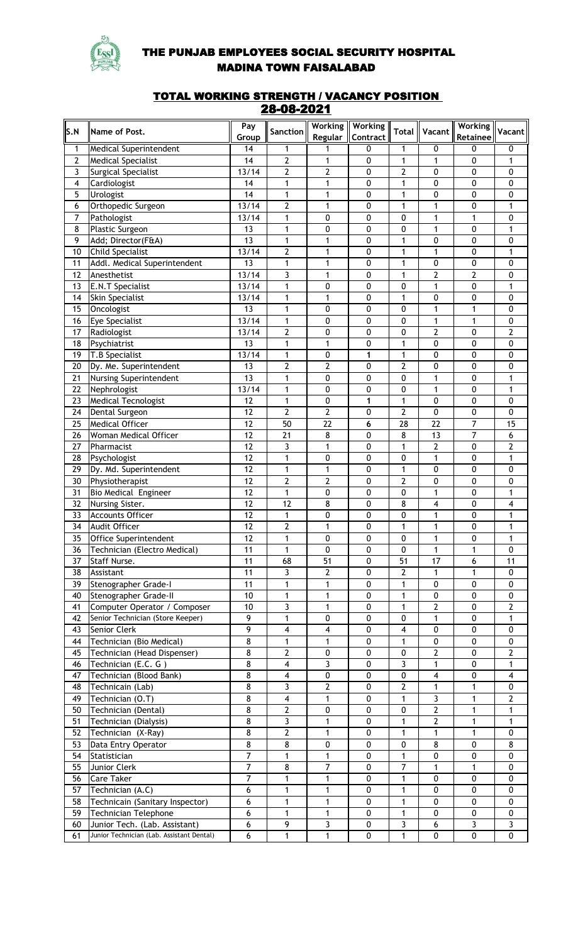

## THE PUNJAB EMPLOYEES SOCIAL SECURITY HOSPITAL MADINA TOWN FAISALABAD

## TOTAL WORKING STRENGTH / VACANCY POSITION 28-08-2021

|                |                                           | Pay               |                         | <b>Working</b> | <b>Working</b> |                         |                 | <b>Working</b>  |                |
|----------------|-------------------------------------------|-------------------|-------------------------|----------------|----------------|-------------------------|-----------------|-----------------|----------------|
| S.N            | Name of Post.                             |                   | Sanction                | Regular        | Contract       | <b>Total</b>            | Vacant          |                 | Vacant         |
|                |                                           | Group             |                         |                |                |                         |                 | <b>Retainee</b> |                |
| 1              | <b>Medical Superintendent</b>             | 14                | 1                       | 1              | 0              | 1                       | 0               | 0               | 0              |
| $\overline{2}$ | <b>Medical Specialist</b>                 | 14                | $\overline{2}$          | $\mathbf{1}$   | 0              | $\mathbf{1}$            | 1               | 0               | 1              |
| 3              | Surgical Specialist                       | 13/14             | $\overline{2}$          | $\overline{2}$ | 0              | $\mathbf{2}$            | 0               | 0               | 0              |
| 4              | Cardiologist                              | 14                | 1                       | $\mathbf{1}$   | $\pmb{0}$      | $\mathbf{1}$            | $\pmb{0}$       | 0               | $\pmb{0}$      |
| 5              | Urologist                                 | 14                | $\mathbf{1}$            | $\mathbf{1}$   | 0              | 1                       | $\pmb{0}$       | 0               | $\pmb{0}$      |
| 6              | Orthopedic Surgeon                        | 13/14             | $\overline{2}$          | $\mathbf{1}$   | 0              | 1                       | 1               | 0               | 1              |
| 7              | Pathologist                               | 13/14             | 1                       | 0              | 0              | 0                       | 1               | 1               | 0              |
| 8              | Plastic Surgeon                           | 13                | $\mathbf{1}$            | 0              | 0              | 0                       | 1               | 0               | 1              |
| 9              | Add; Director(F&A)                        | 13                | $\mathbf{1}$            | $\mathbf{1}$   | 0              | 1                       | 0               | 0               | $\pmb{0}$      |
| 10             | <b>Child Specialist</b>                   | 13/14             | $\overline{2}$          | $\mathbf{1}$   | 0              | 1                       | 1               | 0               | 1              |
| 11             | Addl. Medical Superintendent              | 13                | 1                       | $\mathbf{1}$   | 0              | 1                       | 0               | 0               | 0              |
| 12             | Anesthetist                               | 13/14             | 3                       | $\mathbf{1}$   | 0              | $\mathbf{1}$            | $\overline{2}$  | $\overline{2}$  | 0              |
| 13             | <b>E.N.T Specialist</b>                   | 13/14             | 1                       | 0              | 0              | 0                       | 1               | 0               | 1              |
| 14             | <b>Skin Specialist</b>                    | 13/14             | 1                       | $\mathbf{1}$   | 0              | $\mathbf{1}$            | 0               | 0               | 0              |
| 15             | Oncologist                                | 13                | 1                       | 0              | 0              | 0                       | 1               | 1               | 0              |
| 16             | <b>Eye Specialist</b>                     | 13/14             | 1                       | 0              | 0              | 0                       | 1               | 1               | 0              |
| 17             | Radiologist                               | 13/14             | $\overline{2}$          | 0              | 0              | 0                       | 2               | 0               | 2              |
| 18             | Psychiatrist                              | 13                | 1                       | $\mathbf{1}$   | 0              | 1                       | 0               | 0               | 0              |
| 19             | T.B Specialist                            | $\frac{1}{3}$ /14 | 1                       | 0              | 1              | 1                       | 0               | 0               | 0              |
| 20             | Dy. Me. Superintendent                    | 13                | $\overline{2}$          | $\overline{2}$ | 0              | $\overline{2}$          | 0               | 0               | 0              |
| 21             | Nursing Superintendent                    | $\overline{13}$   | 1                       | 0              | 0              | 0                       | $\mathbf{1}$    | 0               | 1              |
|                |                                           | 13/14             |                         |                |                |                         | $\mathbf{1}$    |                 |                |
| 22             | Nephrologist                              |                   | 1<br>$\mathbf{1}$       | 0              | 0              | 0                       |                 | 0               | 1<br>$\pmb{0}$ |
| 23             | <b>Medical Tecnologist</b>                | 12                |                         | 0              | 1              | 1                       | 0               | 0               |                |
| 24             | Dental Surgeon                            | $\overline{12}$   | $\overline{2}$          | $\overline{2}$ | 0              | $\overline{2}$          | $\pmb{0}$       | 0               | $\pmb{0}$      |
| 25             | <b>Medical Officer</b>                    | $\overline{12}$   | 50                      | 22             | 6              | 28                      | $\overline{22}$ | $\overline{7}$  | 15             |
| 26             | Woman Medical Officer                     | $\overline{12}$   | $\overline{21}$         | 8              | 0              | 8                       | 13              | $\overline{7}$  | 6              |
| 27             | Pharmacist                                | 12                | 3                       | $\mathbf{1}$   | 0              | 1                       | $\overline{2}$  | 0               | 2              |
| 28             | Psychologist                              | 12                | $\mathbf{1}$            | 0              | 0              | 0                       | 1               | 0               | 1              |
| 29             | Dy. Md. Superintendent                    | 12                | 1                       | $\mathbf{1}$   | 0              | 1                       | $\pmb{0}$       | 0               | $\pmb{0}$      |
| 30             | Physiotherapist                           | 12                | $\overline{2}$          | $\mathbf{2}$   | 0              | 2                       | 0               | 0               | $\pmb{0}$      |
| 31             | Bio Medical Engineer                      | 12                | $\mathbf{1}$            | 0              | 0              | 0                       | 1               | 0               | 1              |
| 32             | Nursing Sister.                           | 12                | 12                      | 8              | 0              | 8                       | 4               | 0               | 4              |
| 33             | <b>Accounts Officer</b>                   | 12                | 1                       | 0              | 0              | 0                       | 1               | 0               | 1              |
| 34             | Audit Officer                             | 12                | $\overline{2}$          | $\mathbf{1}$   | 0              | 1                       | 1               | 0               | 1              |
| 35             | Office Superintendent                     | 12                | 1                       | 0              | 0              | 0                       | 1               | 0               | 1              |
| 36             | Technician (Electro Medical)              | 11                | $\mathbf{1}$            | $\mathbf 0$    | 0              | 0                       | 1               | $\mathbf{1}$    | $\mathbf 0$    |
| 37             | Staff Nurse.                              | 11                | 68                      | 51             | 0              | 51                      | 17              | 6               | 11             |
| 38             | Assistant                                 | 11                | 3                       | $\overline{2}$ | 0              | $\mathbf{2}$            | 1               | 1               | 0              |
| 39             | Stenographer Grade-I                      | 11                | 1                       | 1              | 0              | 1                       | 0               | 0               | 0              |
| 40             | Stenographer Grade-II                     | 10                | 1                       | $\mathbf{1}$   | 0              | 1                       | 0               | 0               | 0              |
| 41             | Computer Operator / Composer              | 10                | 3                       | $\mathbf{1}$   | 0              | 1                       | 2               | 0               | $\mathbf{2}$   |
| 42             | Senior Technician (Store Keeper)          | 9                 | 1                       | 0              | 0              | 0                       | 1               | 0               | 1              |
| 43             | Senior Clerk                              | 9                 | $\overline{\mathbf{4}}$ | 4              | 0              | $\overline{\mathbf{4}}$ | 0               | 0               | 0              |
| 44             | Technician (Bio Medical)                  | 8                 | 1                       | $\mathbf{1}$   | 0              | 1                       | 0               | 0               | 0              |
| 45             | Technician (Head Dispenser)               | 8                 | $\overline{2}$          | 0              | 0              | 0                       | $\overline{2}$  | 0               | 2              |
| 46             | Technician (E.C. G)                       | 8                 | $\overline{\mathbf{4}}$ | 3              | 0              | 3                       | 1               | 0               | $\mathbf{1}$   |
| 47             | Technician (Blood Bank)                   | 8                 | $\overline{\mathbf{4}}$ | 0              | 0              | 0                       | 4               | 0               | $\overline{4}$ |
| 48             | Technicain (Lab)                          | 8                 | 3                       | $\overline{2}$ | 0              | 2                       | 1               | $\mathbf{1}$    | 0              |
|                |                                           | 8                 | $\overline{4}$          | $\mathbf{1}$   | 0              | 1                       |                 |                 | $\overline{2}$ |
| 49             | Technician (O.T)                          |                   |                         |                |                |                         | 3               | $\mathbf{1}$    |                |
| 50             | Technician (Dental)                       | 8                 | $\overline{2}$          | $\pmb{0}$      | 0              | 0                       | 2               | 1               | 1              |
| 51             | Technician (Dialysis)                     | 8                 | 3                       | $\mathbf{1}$   | $\pmb{0}$      | 1                       | 2               | $\mathbf{1}$    | 1              |
| 52             | Technician (X-Ray)                        | 8                 | $\overline{2}$          | $\mathbf{1}$   | $\pmb{0}$      | 1                       | 1               | 1               | 0              |
| 53             | Data Entry Operator                       | 8                 | 8                       | $\pmb{0}$      | $\pmb{0}$      | 0                       | 8               | 0               | 8              |
| 54             | Statistician                              | $\overline{7}$    | 1                       | 1              | $\pmb{0}$      | 1                       | 0               | 0               | 0              |
| 55             | Junior Clerk                              | $\overline{7}$    | 8                       | $\overline{7}$ | $\pmb{0}$      | $\overline{7}$          | 1               | 1               | 0              |
| 56             | Care Taker                                | $\overline{7}$    | 1                       | 1              | 0              | 1                       | 0               | 0               | 0              |
| 57             | Technician (A.C)                          | 6                 | 1                       | 1              | 0              | 1                       | 0               | 0               | 0              |
| 58             | Technicain (Sanitary Inspector)           | 6                 | 1                       | $\mathbf{1}$   | 0              | 1                       | 0               | 0               | 0              |
| 59             | Technician Telephone                      | 6                 | 1                       | 1              | 0              | 1                       | 0               | 0               | 0              |
| 60             | Junior Tech. (Lab. Assistant)             | 6                 | 9                       | 3              | 0              | 3                       | 6               | 3               | 3              |
| 61             | Junior Technician (Lab. Assistant Dental) | 6                 | $\mathbf{1}$            | $\mathbf{1}$   | 0              | 1                       | 0               | 0               | 0              |